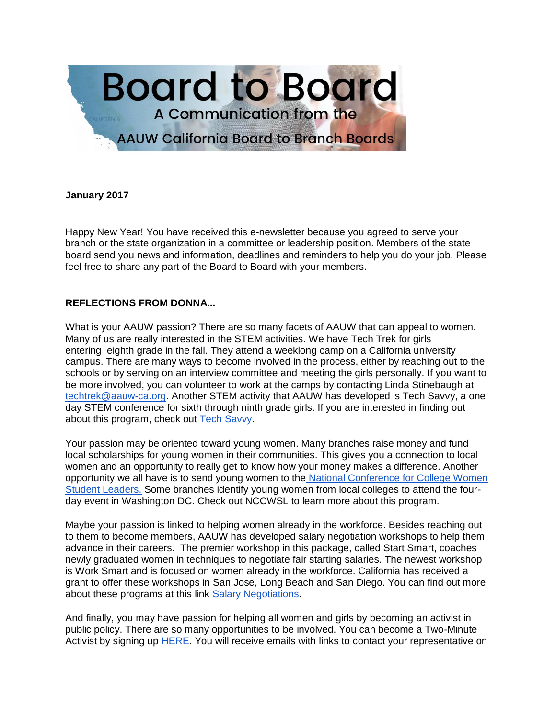

### **January 2017**

Happy New Year! You have received this e-newsletter because you agreed to serve your branch or the state organization in a committee or leadership position. Members of the state board send you news and information, deadlines and reminders to help you do your job. Please feel free to share any part of the Board to Board with your members.

### **REFLECTIONS FROM DONNA...**

What is your AAUW passion? There are so many facets of AAUW that can appeal to women. Many of us are really interested in the STEM activities. We have Tech Trek for girls entering eighth grade in the fall. They attend a weeklong camp on a California university campus. There are many ways to become involved in the process, either by reaching out to the schools or by serving on an interview committee and meeting the girls personally. If you want to be more involved, you can volunteer to work at the camps by contacting Linda Stinebaugh at [techtrek@aauw-ca.org.](mailto:techtrek@aauw-ca.org) Another STEM activity that AAUW has developed is Tech Savvy, a one day STEM conference for sixth through ninth grade girls. If you are interested in finding out about this program, check out [Tech Savvy.](http://www.aauw.org/what-we-do/stem-education/tech-savvy/)

Your passion may be oriented toward young women. Many branches raise money and fund local scholarships for young women in their communities. This gives you a connection to local women and an opportunity to really get to know how your money makes a difference. Another opportunity we all have is to send young women to the [National Conference for College Women](https://www.nccwsl.org/)  [Student Leaders.](https://www.nccwsl.org/) Some branches identify young women from local colleges to attend the fourday event in Washington DC. Check out NCCWSL to learn more about this program.

Maybe your passion is linked to helping women already in the workforce. Besides reaching out to them to become members, AAUW has developed salary negotiation workshops to help them advance in their careers. The premier workshop in this package, called Start Smart, coaches newly graduated women in techniques to negotiate fair starting salaries. The newest workshop is Work Smart and is focused on women already in the workforce. California has received a grant to offer these workshops in San Jose, Long Beach and San Diego. You can find out more about these programs at this link [Salary Negotiations.](http://www.aauw.org/what-we-do/salary-negotiation-workshops)

And finally, you may have passion for helping all women and girls by becoming an activist in public policy. There are so many opportunities to be involved. You can become a Two-Minute Activist by signing up [HERE.](http://www.aauw.org/what-we-do/public-policy/two-minute-activist/) You will receive emails with links to contact your representative on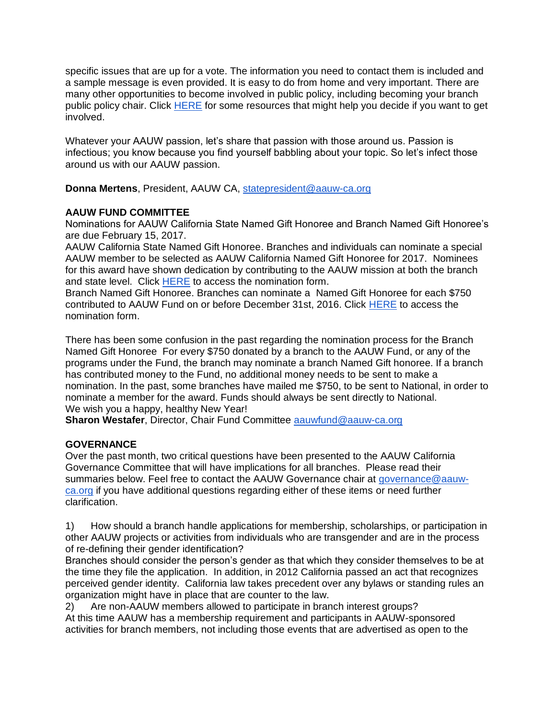specific issues that are up for a vote. The information you need to contact them is included and a sample message is even provided. It is easy to do from home and very important. There are many other opportunities to become involved in public policy, including becoming your branch public policy chair. Click [HERE](http://www.aauw.org/resource/top-tips-for-public-policy-chairs/) for some resources that might help you decide if you want to get involved.

Whatever your AAUW passion, let's share that passion with those around us. Passion is infectious; you know because you find yourself babbling about your topic. So let's infect those around us with our AAUW passion.

**Donna Mertens**, President, AAUW CA, [statepresident@aauw-ca.org](mailto:statepresident@aauw-ca.org)

## **AAUW FUND COMMITTEE**

Nominations for AAUW California State Named Gift Honoree and Branch Named Gift Honoree's are due February 15, 2017.

AAUW California State Named Gift Honoree. Branches and individuals can nominate a special AAUW member to be selected as AAUW California Named Gift Honoree for 2017. Nominees for this award have shown dedication by contributing to the AAUW mission at both the branch and state level. Click [HERE](https://docs.google.com/forms/d/e/1FAIpQLSdrFpp-Bb60K1bCF8jhQ1uRgI8J6uZUR6j5y7HZV4Jn5KGeRA/viewform?c=0&w=1) to access the nomination form.

Branch Named Gift Honoree. Branches can nominate a Named Gift Honoree for each \$750 contributed to AAUW Fund on or before December 31st, 2016. Click [HERE](https://docs.google.com/forms/d/e/1FAIpQLSfU_rfTA0QXOoxTfypyz607tmZAQpPkfrjnpKnkPP5QgNEQRA/viewform?c=0&w=1) to access the nomination form.

There has been some confusion in the past regarding the nomination process for the Branch Named Gift Honoree For every \$750 donated by a branch to the AAUW Fund, or any of the programs under the Fund, the branch may nominate a branch Named Gift honoree. If a branch has contributed money to the Fund, no additional money needs to be sent to make a nomination. In the past, some branches have mailed me \$750, to be sent to National, in order to nominate a member for the award. Funds should always be sent directly to National. We wish you a happy, healthy New Year!

**Sharon Westafer**, Director, Chair Fund Committee [aauwfund@aauw-ca.org](mailto:aauwfund@aauw-ca.org)

## **GOVERNANCE**

Over the past month, two critical questions have been presented to the AAUW California Governance Committee that will have implications for all branches. Please read their summaries below. Feel free to contact the AAUW Governance chair at [governance@aauw](mailto:governance@aauw-ca.org)[ca.org](mailto:governance@aauw-ca.org) if you have additional questions regarding either of these items or need further clarification.

1) How should a branch handle applications for membership, scholarships, or participation in other AAUW projects or activities from individuals who are transgender and are in the process of re-defining their gender identification?

Branches should consider the person's gender as that which they consider themselves to be at the time they file the application. In addition, in 2012 California passed an act that recognizes perceived gender identity. California law takes precedent over any bylaws or standing rules an organization might have in place that are counter to the law.

2) Are non-AAUW members allowed to participate in branch interest groups? At this time AAUW has a membership requirement and participants in AAUW-sponsored activities for branch members, not including those events that are advertised as open to the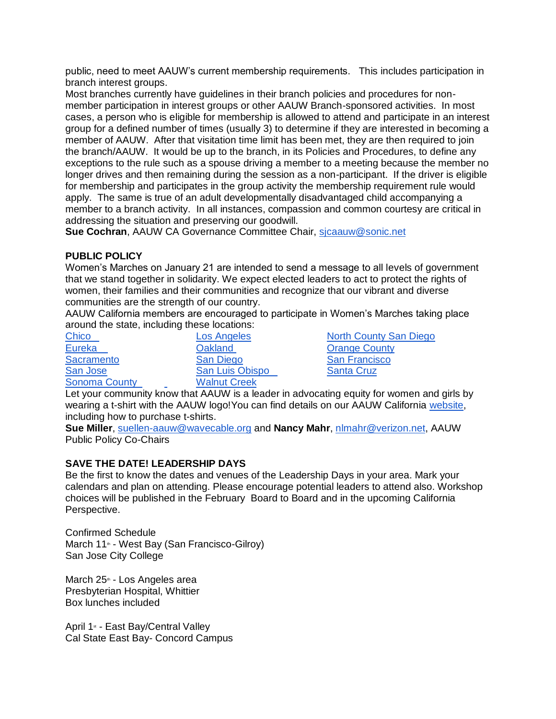public, need to meet AAUW's current membership requirements. This includes participation in branch interest groups.

Most branches currently have guidelines in their branch policies and procedures for nonmember participation in interest groups or other AAUW Branch-sponsored activities. In most cases, a person who is eligible for membership is allowed to attend and participate in an interest group for a defined number of times (usually 3) to determine if they are interested in becoming a member of AAUW. After that visitation time limit has been met, they are then required to join the branch/AAUW. It would be up to the branch, in its Policies and Procedures, to define any exceptions to the rule such as a spouse driving a member to a meeting because the member no longer drives and then remaining during the session as a non-participant. If the driver is eligible for membership and participates in the group activity the membership requirement rule would apply. The same is true of an adult developmentally disadvantaged child accompanying a member to a branch activity. In all instances, compassion and common courtesy are critical in addressing the situation and preserving our goodwill.

**Sue Cochran**, AAUW CA Governance Committee Chair, [sjcaauw@sonic.net](mailto:sjcaauw@sonic.net)

## **PUBLIC POLICY**

Women's Marches on January 21 are intended to send a message to all levels of government that we stand together in solidarity. We expect elected leaders to act to protect the rights of women, their families and their communities and recognize that our vibrant and diverse communities are the strength of our country.

AAUW California members are encouraged to participate in Women's Marches taking place around the state, including these locations:

[Eureka](https://actionnetwork.org/events/womens-march-eureka-ca-3?source=widget) **Oakland** [Oakland](https://womensmarchbayarea.org/#join-a-march) **[Orange County](http://www.nwpcoc.org/women_s_march_oc)** [Sacramento](http://www.womensmarchsac.com/mission-vision/) [San Diego](https://www.facebook.com/events/1684632678516753/) San [San Francisco](https://womensmarchbayarea.org/#join-a-march) [San Jose](https://womensmarchbayarea.org/#join-a-march) [San Luis Obispo](https://www.eventbrite.com/e/womens-march-san-luis-obispo-registration-30208514480) [Santa Cruz](https://actionnetwork.org/events/womens-march-santa-cruz-ca-3?source=widget) [Sonoma County](https://actionnetwork.org/events/womens-march-sonoma-county-ca-2?source=widget) **[Walnut Creek](http://www.walnutcreekwomenswalk.org/)** 

[Chico](https://www.facebook.com/events/682834055214891/) [Los Angeles](https://womensmarchla.org/) [North County San Diego](https://actionnetwork.org/events/womens-march-north-county-san-diego-ca-3?source=widget)

Let your community know that AAUW is a leader in advocating equity for women and girls by wearing a t-shirt with the AAUW logo!You can find details on our AAUW California [website,](http://www.aauw-ca.org/womens-march/) including how to purchase t-shirts.

**Sue Miller**, [suellen-aauw@wavecable.org](mailto:suellen-aauw@wavecable.org) and **Nancy Mahr**, [nlmahr@verizon.net,](mailto:nlmahr@verizon.net) AAUW Public Policy Co-Chairs

## **SAVE THE DATE! LEADERSHIP DAYS**

Be the first to know the dates and venues of the Leadership Days in your area. Mark your calendars and plan on attending. Please encourage potential leaders to attend also. Workshop choices will be published in the February Board to Board and in the upcoming California Perspective.

Confirmed Schedule March 11<sup>th</sup> - West Bay (San Francisco-Gilroy) San Jose City College

March 25<sup>th</sup> - Los Angeles area Presbyterian Hospital, Whittier Box lunches included

April 1<sup>st</sup> - East Bay/Central Valley Cal State East Bay- Concord Campus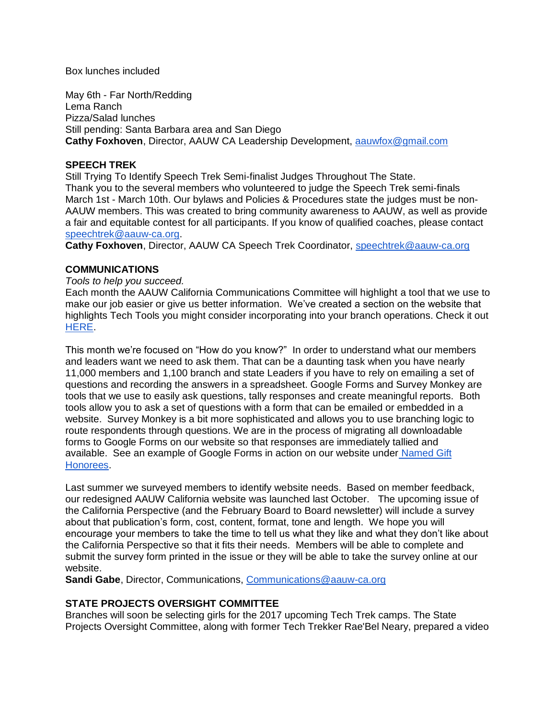Box lunches included

May 6th - Far North/Redding Lema Ranch Pizza/Salad lunches Still pending: Santa Barbara area and San Diego **Cathy Foxhoven**, Director, AAUW CA Leadership Development, [aauwfox@gmail.com](mailto:aauwfox@gmail.com)

## **SPEECH TREK**

Still Trying To Identify Speech Trek Semi-finalist Judges Throughout The State. Thank you to the several members who volunteered to judge the Speech Trek semi-finals March 1st - March 10th. Our bylaws and Policies & Procedures state the judges must be non-AAUW members. This was created to bring community awareness to AAUW, as well as provide a fair and equitable contest for all participants. If you know of qualified coaches, please contact [speechtrek@aauw-ca.org.](mailto:speechtrek@aauw-ca.org)

**Cathy Foxhoven**, Director, AAUW CA Speech Trek Coordinator, [speechtrek@aauw-ca.org](mailto:speechtrek@aauw-ca.org)

### **COMMUNICATIONS**

#### *Tools to help you succeed.*

Each month the AAUW California Communications Committee will highlight a tool that we use to make our job easier or give us better information. We've created a section on the website that highlights Tech Tools you might consider incorporating into your branch operations. Check it ou[t](http://www.aauw-ca.org/tech-tools/) [HERE.](http://www.aauw-ca.org/tech-tools/)

This month we're focused on "How do you know?" In order to understand what our members and leaders want we need to ask them. That can be a daunting task when you have nearly 11,000 members and 1,100 branch and state Leaders if you have to rely on emailing a set of questions and recording the answers in a spreadsheet. Google Forms and Survey Monkey are tools that we use to easily ask questions, tally responses and create meaningful reports. Both tools allow you to ask a set of questions with a form that can be emailed or embedded in a website. Survey Monkey is a bit more sophisticated and allows you to use branching logic to route respondents through questions. We are in the process of migrating all downloadable forms to Google Forms on our website so that responses are immediately tallied and available. See an example of Google Forms in action on our website under [Named Gift](http://www.aauw-ca.org/named-gift-honorees/)  [Honorees.](http://www.aauw-ca.org/named-gift-honorees/)

Last summer we surveyed members to identify website needs. Based on member feedback, our redesigned AAUW California website was launched last October. The upcoming issue of the California Perspective (and the February Board to Board newsletter) will include a survey about that publication's form, cost, content, format, tone and length. We hope you will encourage your members to take the time to tell us what they like and what they don't like about the California Perspective so that it fits their needs. Members will be able to complete and submit the survey form printed in the issue or they will be able to take the survey online at our website.

**Sandi Gabe**, Director, Communications, [Communications@aauw-ca.org](mailto:Communications@aauw-ca.org)

## **STATE PROJECTS OVERSIGHT COMMITTEE**

Branches will soon be selecting girls for the 2017 upcoming Tech Trek camps. The State Projects Oversight Committee, along with former Tech Trekker Rae'Bel Neary, prepared a video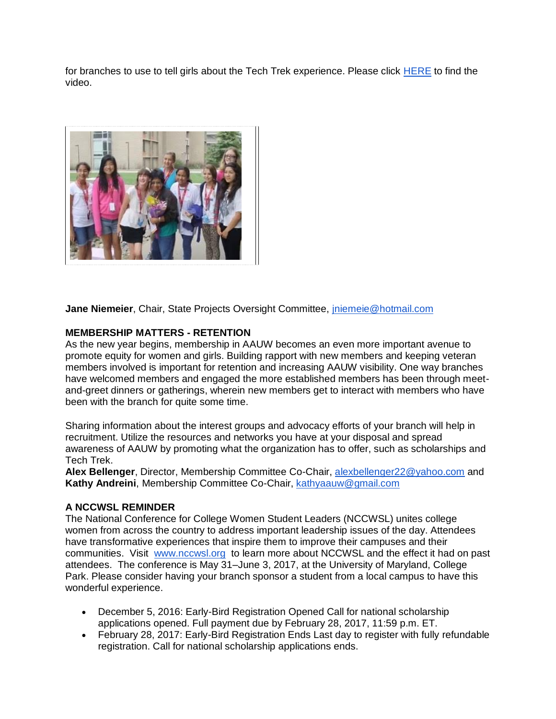for branches to use to tell girls about the Tech Trek experience. Please click [HERE](https://www.youtube.com/watch?v=VpM3Cwb6ihg) to find the video.



**Jane Niemeier**, Chair, State Projects Oversight Committee, [jniemeie@hotmail.com](mailto:jniemeie@hotmail.com)

## **MEMBERSHIP MATTERS - RETENTION**

As the new year begins, membership in AAUW becomes an even more important avenue to promote equity for women and girls. Building rapport with new members and keeping veteran members involved is important for retention and increasing AAUW visibility. One way branches have welcomed members and engaged the more established members has been through meetand-greet dinners or gatherings, wherein new members get to interact with members who have been with the branch for quite some time.

Sharing information about the interest groups and advocacy efforts of your branch will help in recruitment. Utilize the resources and networks you have at your disposal and spread awareness of AAUW by promoting what the organization has to offer, such as scholarships and Tech Trek.

**Alex Bellenger**, Director, Membership Committee Co-Chair, [alexbellenger22@yahoo.com](mailto:alexbellenger22@yahoo.com) and **Kathy Andreini**, Membership Committee Co-Chair, [kathyaauw@gmail.com](mailto:kathyaauw@gmail.com)

#### **A NCCWSL REMINDER**

The National Conference for College Women Student Leaders (NCCWSL) unites college women from across the country to address important leadership issues of the day. Attendees have transformative experiences that inspire them to improve their campuses and their communities. Visit [www.nccwsl.org](http://www.nccwsl.org/) to learn more about NCCWSL and the effect it had on past attendees. The conference is May 31–June 3, 2017, at the University of Maryland, College Park. Please consider having your branch sponsor a student from a local campus to have this wonderful experience.

- December 5, 2016: Early-Bird Registration Opened Call for national scholarship applications opened. Full payment due by February 28, 2017, 11:59 p.m. ET.
- February 28, 2017: Early-Bird Registration Ends Last day to register with fully refundable registration. Call for national scholarship applications ends.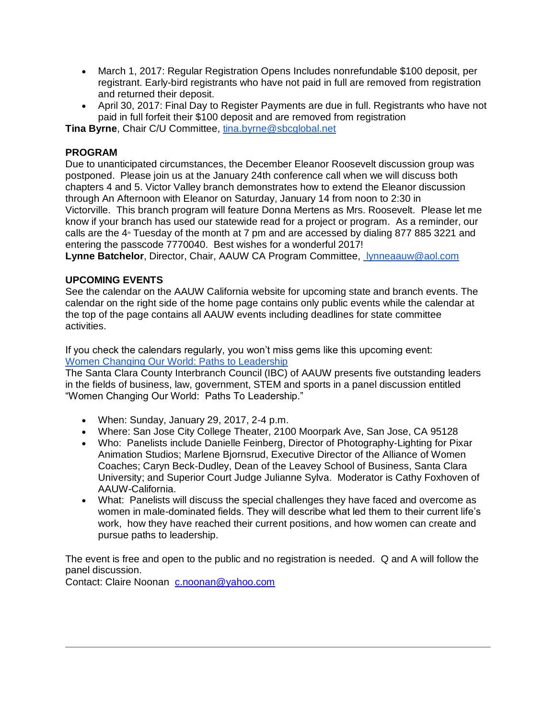- March 1, 2017: Regular Registration Opens Includes nonrefundable \$100 deposit, per registrant. Early-bird registrants who have not paid in full are removed from registration and returned their deposit.
- April 30, 2017: Final Day to Register Payments are due in full. Registrants who have not paid in full forfeit their \$100 deposit and are removed from registration

**Tina Byrne**, Chair C/U Committee, [tina.byrne@sbcglobal.net](mailto:tina.byrne@sbcglobal.net)

# **PROGRAM**

Due to unanticipated circumstances, the December Eleanor Roosevelt discussion group was postponed. Please join us at the January 24th conference call when we will discuss both chapters 4 and 5. Victor Valley branch demonstrates how to extend the Eleanor discussion through An Afternoon with Eleanor on Saturday, January 14 from noon to 2:30 in Victorville. This branch program will feature Donna Mertens as Mrs. Roosevelt. Please let me know if your branch has used our statewide read for a project or program. As a reminder, our calls are the  $4*$  Tuesday of the month at 7 pm and are accessed by dialing 877 885 3221 and entering the passcode 7770040. Best wishes for a wonderful 2017!

**Lynne Batchelor**, Director, Chair, AAUW CA Program Committee, [lynneaauw@aol.com](mailto:lynneaauw@aol.com)

# **UPCOMING EVENTS**

See the calendar on the AAUW California website for upcoming state and branch events. The calendar on the right side of the home page contains only public events while the calendar at the top of the page contains all AAUW events including deadlines for state committee activities.

If you check the calendars regularly, you won't miss gems like this upcoming event: [Women Changing Our World: Paths to Leadership](http://www.aauw-ca.org/event/women-changing-world-paths-leadership/?instance_id=331)

The Santa Clara County Interbranch Council (IBC) of AAUW presents five outstanding leaders in the fields of business, law, government, STEM and sports in a panel discussion entitled "Women Changing Our World: Paths To Leadership."

- When: Sunday, January 29, 2017, 2-4 p.m.
- Where: San Jose City College Theater, 2100 Moorpark Ave, San Jose, CA 95128
- Who: Panelists include Danielle Feinberg, Director of Photography-Lighting for Pixar Animation Studios; Marlene Bjornsrud, Executive Director of the Alliance of Women Coaches; Caryn Beck-Dudley, Dean of the Leavey School of Business, Santa Clara University; and Superior Court Judge Julianne Sylva. Moderator is Cathy Foxhoven of AAUW-California.
- What: Panelists will discuss the special challenges they have faced and overcome as women in male-dominated fields. They will describe what led them to their current life's work, how they have reached their current positions, and how women can create and pursue paths to leadership.

The event is free and open to the public and no registration is needed. Q and A will follow the panel discussion.

Contact: Claire Noonan [c.noonan@yahoo.com](mailto:c.noonan@yahoo.com)